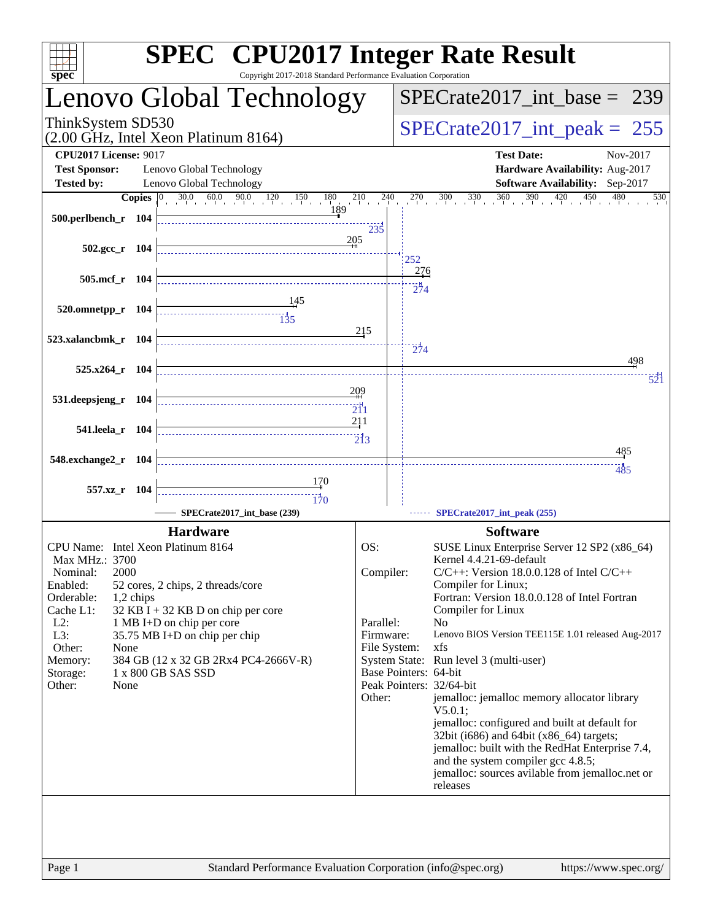| spec <sup>®</sup>                                                                                                                                                                                        | <b>SPEC<sup>®</sup></b> CPU2017 Integer Rate Result<br>Copyright 2017-2018 Standard Performance Evaluation Corporation                                                                                |                                                      |                                                                                                                                                                                                                                                                                                                                                                                                                                                                                                                                                                                                                                                                                                                                        |
|----------------------------------------------------------------------------------------------------------------------------------------------------------------------------------------------------------|-------------------------------------------------------------------------------------------------------------------------------------------------------------------------------------------------------|------------------------------------------------------|----------------------------------------------------------------------------------------------------------------------------------------------------------------------------------------------------------------------------------------------------------------------------------------------------------------------------------------------------------------------------------------------------------------------------------------------------------------------------------------------------------------------------------------------------------------------------------------------------------------------------------------------------------------------------------------------------------------------------------------|
|                                                                                                                                                                                                          | Lenovo Global Technology                                                                                                                                                                              |                                                      | $SPECTate2017\_int\_base = 239$                                                                                                                                                                                                                                                                                                                                                                                                                                                                                                                                                                                                                                                                                                        |
| ThinkSystem SD530                                                                                                                                                                                        | (2.00 GHz, Intel Xeon Platinum 8164)                                                                                                                                                                  | $SPECrate2017\_int\_peak = 255$                      |                                                                                                                                                                                                                                                                                                                                                                                                                                                                                                                                                                                                                                                                                                                                        |
| <b>CPU2017 License: 9017</b><br><b>Test Sponsor:</b>                                                                                                                                                     | Lenovo Global Technology                                                                                                                                                                              |                                                      | <b>Test Date:</b><br>Nov-2017<br>Hardware Availability: Aug-2017                                                                                                                                                                                                                                                                                                                                                                                                                                                                                                                                                                                                                                                                       |
| <b>Tested by:</b>                                                                                                                                                                                        | Lenovo Global Technology                                                                                                                                                                              |                                                      | Software Availability: Sep-2017                                                                                                                                                                                                                                                                                                                                                                                                                                                                                                                                                                                                                                                                                                        |
| 500.perlbench_r 104                                                                                                                                                                                      | 189                                                                                                                                                                                                   | 235                                                  | 530                                                                                                                                                                                                                                                                                                                                                                                                                                                                                                                                                                                                                                                                                                                                    |
| $502.\text{gcc r}$ 104                                                                                                                                                                                   | 205                                                                                                                                                                                                   |                                                      | 252<br><u>276</u>                                                                                                                                                                                                                                                                                                                                                                                                                                                                                                                                                                                                                                                                                                                      |
| 505.mcf r 104                                                                                                                                                                                            |                                                                                                                                                                                                       |                                                      | 274                                                                                                                                                                                                                                                                                                                                                                                                                                                                                                                                                                                                                                                                                                                                    |
| $520.0$ mnetpp_r 104<br>523.xalancbmk_r 104                                                                                                                                                              |                                                                                                                                                                                                       | 215                                                  | $\frac{1}{274}$                                                                                                                                                                                                                                                                                                                                                                                                                                                                                                                                                                                                                                                                                                                        |
|                                                                                                                                                                                                          |                                                                                                                                                                                                       |                                                      | 498                                                                                                                                                                                                                                                                                                                                                                                                                                                                                                                                                                                                                                                                                                                                    |
| 525.x264_r 104                                                                                                                                                                                           |                                                                                                                                                                                                       | 209                                                  | 521                                                                                                                                                                                                                                                                                                                                                                                                                                                                                                                                                                                                                                                                                                                                    |
| 531.deepsjeng_r 104                                                                                                                                                                                      |                                                                                                                                                                                                       | $\overline{21}1$                                     |                                                                                                                                                                                                                                                                                                                                                                                                                                                                                                                                                                                                                                                                                                                                        |
| 541.leela_r 104                                                                                                                                                                                          |                                                                                                                                                                                                       | 211<br>$\overline{2}13$                              |                                                                                                                                                                                                                                                                                                                                                                                                                                                                                                                                                                                                                                                                                                                                        |
| 548.exchange2_r 104                                                                                                                                                                                      |                                                                                                                                                                                                       |                                                      | 485                                                                                                                                                                                                                                                                                                                                                                                                                                                                                                                                                                                                                                                                                                                                    |
| 557.xz_r 104                                                                                                                                                                                             | 170<br>170                                                                                                                                                                                            |                                                      | 485                                                                                                                                                                                                                                                                                                                                                                                                                                                                                                                                                                                                                                                                                                                                    |
|                                                                                                                                                                                                          | SPECrate2017_int_base (239)                                                                                                                                                                           |                                                      | SPECrate2017_int_peak (255)                                                                                                                                                                                                                                                                                                                                                                                                                                                                                                                                                                                                                                                                                                            |
|                                                                                                                                                                                                          | <b>Hardware</b>                                                                                                                                                                                       |                                                      | <b>Software</b>                                                                                                                                                                                                                                                                                                                                                                                                                                                                                                                                                                                                                                                                                                                        |
| CPU Name: Intel Xeon Platinum 8164<br>Max MHz.: 3700<br>2000<br>Nominal:<br>Enabled:<br>Orderable:<br>1,2 chips<br>Cache L1:<br>$L2$ :<br>L3:<br>Other:<br>None<br>Memory:<br>Storage:<br>Other:<br>None | 52 cores, 2 chips, 2 threads/core<br>$32$ KB I + 32 KB D on chip per core<br>1 MB I+D on chip per core<br>35.75 MB I+D on chip per chip<br>384 GB (12 x 32 GB 2Rx4 PC4-2666V-R)<br>1 x 800 GB SAS SSD | OS:<br>Compiler:<br>Parallel:<br>Firmware:<br>Other: | SUSE Linux Enterprise Server 12 SP2 (x86_64)<br>Kernel 4.4.21-69-default<br>$C/C++$ : Version 18.0.0.128 of Intel $C/C++$<br>Compiler for Linux;<br>Fortran: Version 18.0.0.128 of Intel Fortran<br>Compiler for Linux<br>N <sub>o</sub><br>Lenovo BIOS Version TEE115E 1.01 released Aug-2017<br>File System:<br>xfs<br>System State: Run level 3 (multi-user)<br>Base Pointers: 64-bit<br>Peak Pointers: 32/64-bit<br>jemalloc: jemalloc memory allocator library<br>$V5.0.1$ :<br>jemalloc: configured and built at default for<br>32bit (i686) and 64bit (x86_64) targets;<br>jemalloc: built with the RedHat Enterprise 7.4,<br>and the system compiler gcc 4.8.5;<br>jemalloc: sources avilable from jemalloc.net or<br>releases |
|                                                                                                                                                                                                          |                                                                                                                                                                                                       |                                                      |                                                                                                                                                                                                                                                                                                                                                                                                                                                                                                                                                                                                                                                                                                                                        |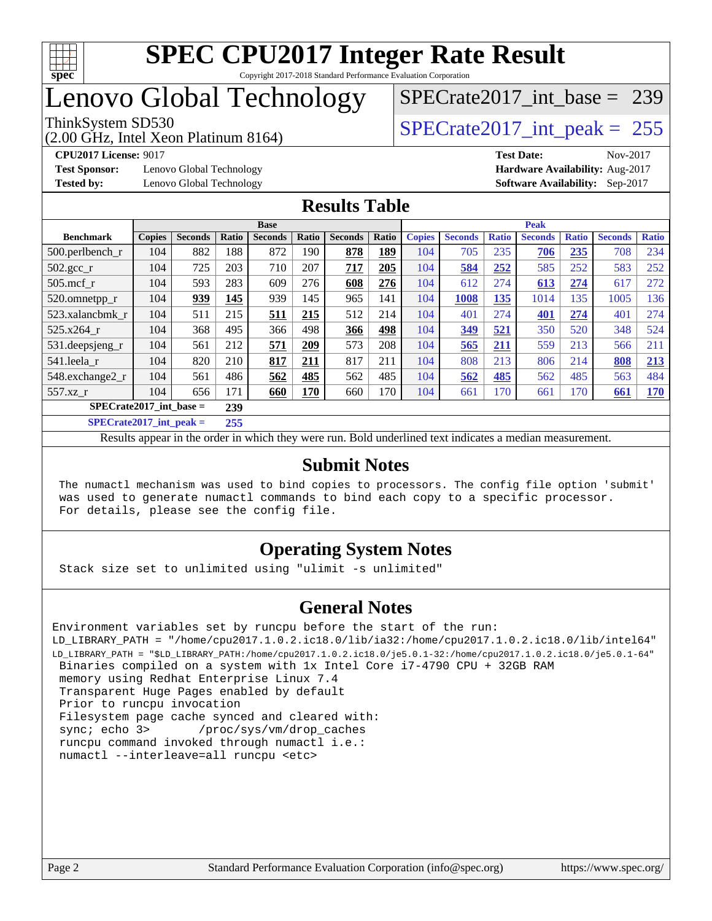

### Lenovo Global Technology

(2.00 GHz, Intel Xeon Platinum 8164)

**[Test Sponsor:](http://www.spec.org/auto/cpu2017/Docs/result-fields.html#TestSponsor)** Lenovo Global Technology **[Hardware Availability:](http://www.spec.org/auto/cpu2017/Docs/result-fields.html#HardwareAvailability)** Aug-2017 **[Tested by:](http://www.spec.org/auto/cpu2017/Docs/result-fields.html#Testedby)** Lenovo Global Technology **[Software Availability:](http://www.spec.org/auto/cpu2017/Docs/result-fields.html#SoftwareAvailability)** Sep-2017

[SPECrate2017\\_int\\_base =](http://www.spec.org/auto/cpu2017/Docs/result-fields.html#SPECrate2017intbase) 239

ThinkSystem SD530  $SPECrate2017\_int\_peak = 255$ 

**[CPU2017 License:](http://www.spec.org/auto/cpu2017/Docs/result-fields.html#CPU2017License)** 9017 **[Test Date:](http://www.spec.org/auto/cpu2017/Docs/result-fields.html#TestDate)** Nov-2017

#### **[Results Table](http://www.spec.org/auto/cpu2017/Docs/result-fields.html#ResultsTable)**

|                                  | <b>Base</b>   |                |       |                |       | <b>Peak</b>    |       |               |                |              |                |              |                |              |
|----------------------------------|---------------|----------------|-------|----------------|-------|----------------|-------|---------------|----------------|--------------|----------------|--------------|----------------|--------------|
| <b>Benchmark</b>                 | <b>Copies</b> | <b>Seconds</b> | Ratio | <b>Seconds</b> | Ratio | <b>Seconds</b> | Ratio | <b>Copies</b> | <b>Seconds</b> | <b>Ratio</b> | <b>Seconds</b> | <b>Ratio</b> | <b>Seconds</b> | <b>Ratio</b> |
| 500.perlbench_r                  | 104           | 882            | 188   | 872            | 190   | 878            | 189   | 104           | 705            | 235          | 706            | 235          | 708            | 234          |
| $502.\text{gcc}$ _r              | 104           | 725            | 203   | 710            | 207   | 717            | 205   | 104           | 584            | 252          | 585            | 252          | 583            | 252          |
| $505$ .mcf r                     | 104           | 593            | 283   | 609            | 276   | 608            | 276   | 104           | 612            | 274          | 613            | 274          | 617            | 272          |
| 520.omnetpp_r                    | 104           | 939            | 145   | 939            | 145   | 965            | 141   | 104           | 1008           | 135          | 1014           | 135          | 1005           | 136          |
| 523.xalancbmk r                  | 104           | 511            | 215   | 511            | 215   | 512            | 214   | 104           | 401            | 274          | 401            | 274          | 401            | 274          |
| 525.x264                         | 104           | 368            | 495   | 366            | 498   | 366            | 498   | 104           | 349            | 521          | 350            | 520          | 348            | 524          |
| 531.deepsjeng_r                  | 104           | 561            | 212   | 571            | 209   | 573            | 208   | 104           | 565            | 211          | 559            | 213          | 566            | 211          |
| 541.leela r                      | 104           | 820            | 210   | 817            | 211   | 817            | 211   | 104           | 808            | 213          | 806            | 214          | 808            | 213          |
| 548.exchange2_r                  | 104           | 561            | 486   | 562            | 485   | 562            | 485   | 104           | 562            | 485          | 562            | 485          | 563            | 484          |
| 557.xz r                         | 104           | 656            | 171   | 660            | 170   | 660            | 170   | 104           | 661            | 170          | 661            | 170          | 661            | <u>170</u>   |
| $SPECrate2017$ int base =<br>239 |               |                |       |                |       |                |       |               |                |              |                |              |                |              |
| $SPECrate2017$ int peak =        |               |                | 255   |                |       |                |       |               |                |              |                |              |                |              |

Results appear in the [order in which they were run](http://www.spec.org/auto/cpu2017/Docs/result-fields.html#RunOrder). Bold underlined text [indicates a median measurement](http://www.spec.org/auto/cpu2017/Docs/result-fields.html#Median).

#### **[Submit Notes](http://www.spec.org/auto/cpu2017/Docs/result-fields.html#SubmitNotes)**

 The numactl mechanism was used to bind copies to processors. The config file option 'submit' was used to generate numactl commands to bind each copy to a specific processor. For details, please see the config file.

#### **[Operating System Notes](http://www.spec.org/auto/cpu2017/Docs/result-fields.html#OperatingSystemNotes)**

Stack size set to unlimited using "ulimit -s unlimited"

#### **[General Notes](http://www.spec.org/auto/cpu2017/Docs/result-fields.html#GeneralNotes)**

Environment variables set by runcpu before the start of the run: LD\_LIBRARY\_PATH = "/home/cpu2017.1.0.2.ic18.0/lib/ia32:/home/cpu2017.1.0.2.ic18.0/lib/intel64" LD\_LIBRARY\_PATH = "\$LD\_LIBRARY\_PATH:/home/cpu2017.1.0.2.ic18.0/je5.0.1-32:/home/cpu2017.1.0.2.ic18.0/je5.0.1-64" Binaries compiled on a system with 1x Intel Core i7-4790 CPU + 32GB RAM memory using Redhat Enterprise Linux 7.4 Transparent Huge Pages enabled by default Prior to runcpu invocation Filesystem page cache synced and cleared with: sync; echo 3> /proc/sys/vm/drop\_caches runcpu command invoked through numactl i.e.: numactl --interleave=all runcpu <etc>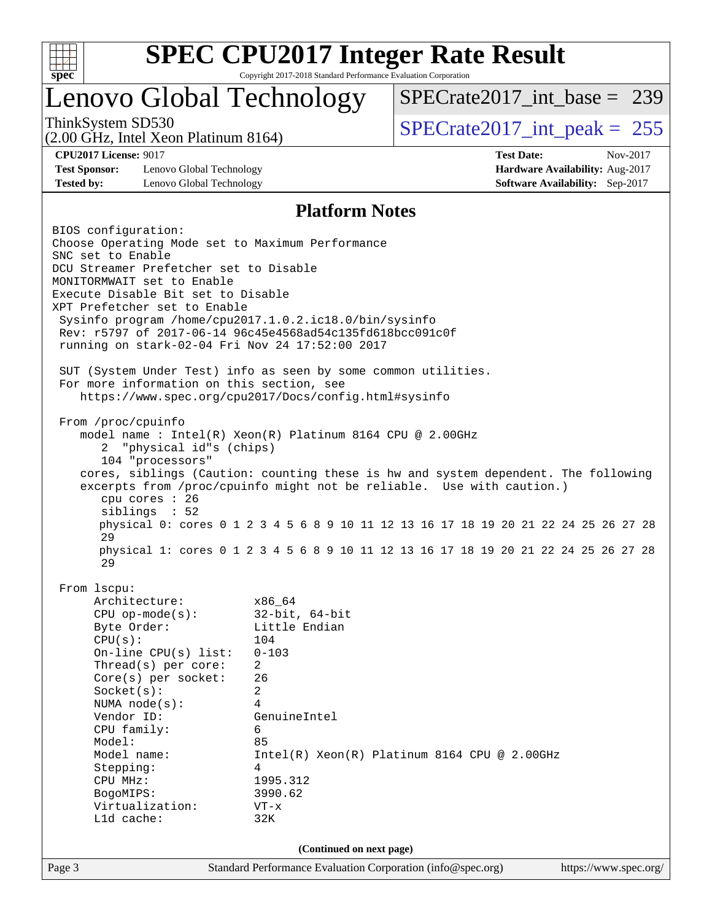

### Lenovo Global Technology

ThinkSystem SD530  $SPECrate2017\_int\_peak = 255$ 

[SPECrate2017\\_int\\_base =](http://www.spec.org/auto/cpu2017/Docs/result-fields.html#SPECrate2017intbase) 239

(2.00 GHz, Intel Xeon Platinum 8164)

**[Test Sponsor:](http://www.spec.org/auto/cpu2017/Docs/result-fields.html#TestSponsor)** Lenovo Global Technology **[Hardware Availability:](http://www.spec.org/auto/cpu2017/Docs/result-fields.html#HardwareAvailability)** Aug-2017 **[Tested by:](http://www.spec.org/auto/cpu2017/Docs/result-fields.html#Testedby)** Lenovo Global Technology **[Software Availability:](http://www.spec.org/auto/cpu2017/Docs/result-fields.html#SoftwareAvailability)** Sep-2017

**[CPU2017 License:](http://www.spec.org/auto/cpu2017/Docs/result-fields.html#CPU2017License)** 9017 **[Test Date:](http://www.spec.org/auto/cpu2017/Docs/result-fields.html#TestDate)** Nov-2017

#### **[Platform Notes](http://www.spec.org/auto/cpu2017/Docs/result-fields.html#PlatformNotes)**

Page 3 Standard Performance Evaluation Corporation [\(info@spec.org\)](mailto:info@spec.org) <https://www.spec.org/> BIOS configuration: Choose Operating Mode set to Maximum Performance SNC set to Enable DCU Streamer Prefetcher set to Disable MONITORMWAIT set to Enable Execute Disable Bit set to Disable XPT Prefetcher set to Enable Sysinfo program /home/cpu2017.1.0.2.ic18.0/bin/sysinfo Rev: r5797 of 2017-06-14 96c45e4568ad54c135fd618bcc091c0f running on stark-02-04 Fri Nov 24 17:52:00 2017 SUT (System Under Test) info as seen by some common utilities. For more information on this section, see <https://www.spec.org/cpu2017/Docs/config.html#sysinfo> From /proc/cpuinfo model name : Intel(R) Xeon(R) Platinum 8164 CPU @ 2.00GHz 2 "physical id"s (chips) 104 "processors" cores, siblings (Caution: counting these is hw and system dependent. The following excerpts from /proc/cpuinfo might not be reliable. Use with caution.) cpu cores : 26 siblings : 52 physical 0: cores 0 1 2 3 4 5 6 8 9 10 11 12 13 16 17 18 19 20 21 22 24 25 26 27 28 29 physical 1: cores 0 1 2 3 4 5 6 8 9 10 11 12 13 16 17 18 19 20 21 22 24 25 26 27 28 29 From lscpu: Architecture: x86\_64 CPU op-mode(s): 32-bit, 64-bit Byte Order: Little Endian CPU(s): 104 On-line CPU(s) list: 0-103 Thread(s) per core: 2 Core(s) per socket: 26 Socket(s): 2 NUMA node(s): 4 Vendor ID: GenuineIntel CPU family: 6 Model: 85 Model name: Intel(R) Xeon(R) Platinum 8164 CPU @ 2.00GHz Stepping: 4 CPU MHz: 1995.312 BogoMIPS: 3990.62 Virtualization: VT-x L1d cache: 32K **(Continued on next page)**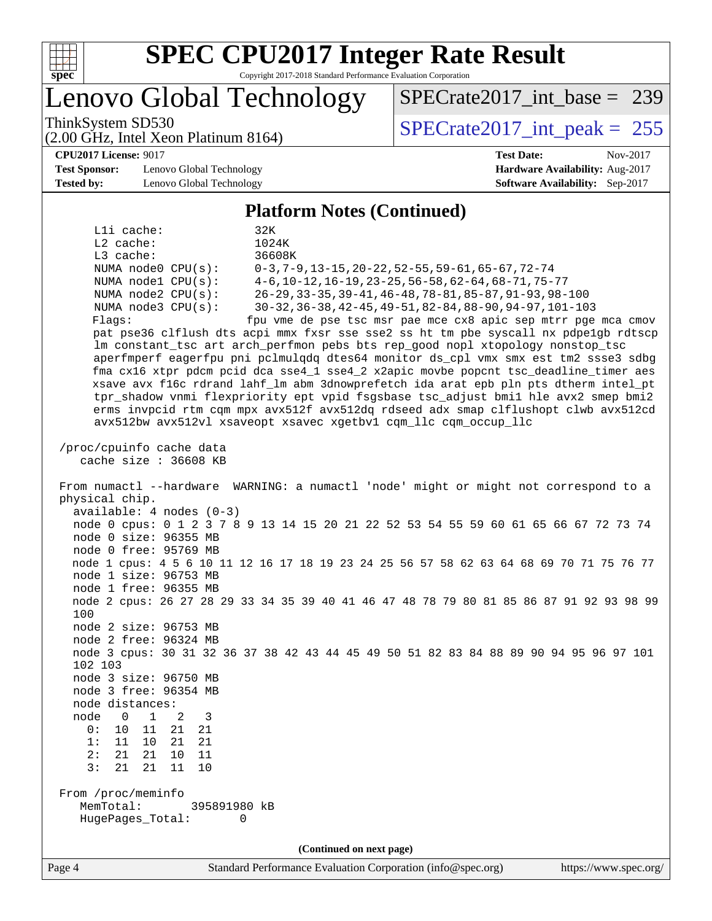

Lenovo Global Technology

ThinkSystem SD530  $SPECrate2017\_int\_peak = 255$ 

[SPECrate2017\\_int\\_base =](http://www.spec.org/auto/cpu2017/Docs/result-fields.html#SPECrate2017intbase) 239

(2.00 GHz, Intel Xeon Platinum 8164)

**[CPU2017 License:](http://www.spec.org/auto/cpu2017/Docs/result-fields.html#CPU2017License)** 9017 **[Test Date:](http://www.spec.org/auto/cpu2017/Docs/result-fields.html#TestDate)** Nov-2017

**[Test Sponsor:](http://www.spec.org/auto/cpu2017/Docs/result-fields.html#TestSponsor)** Lenovo Global Technology **[Hardware Availability:](http://www.spec.org/auto/cpu2017/Docs/result-fields.html#HardwareAvailability)** Aug-2017 **[Tested by:](http://www.spec.org/auto/cpu2017/Docs/result-fields.html#Testedby)** Lenovo Global Technology **[Software Availability:](http://www.spec.org/auto/cpu2017/Docs/result-fields.html#SoftwareAvailability)** Sep-2017

#### **[Platform Notes \(Continued\)](http://www.spec.org/auto/cpu2017/Docs/result-fields.html#PlatformNotes)**

L1i cache: 32K L2 cache: 1024K L3 cache: 36608K NUMA node0 CPU(s): 0-3,7-9,13-15,20-22,52-55,59-61,65-67,72-74 NUMA node1 CPU(s): 4-6,10-12,16-19,23-25,56-58,62-64,68-71,75-77 NUMA node2 CPU(s): 26-29,33-35,39-41,46-48,78-81,85-87,91-93,98-100 NUMA node3 CPU(s): 30-32,36-38,42-45,49-51,82-84,88-90,94-97,101-103 Flags: fpu vme de pse tsc msr pae mce cx8 apic sep mtrr pge mca cmov pat pse36 clflush dts acpi mmx fxsr sse sse2 ss ht tm pbe syscall nx pdpe1gb rdtscp lm constant\_tsc art arch\_perfmon pebs bts rep\_good nopl xtopology nonstop\_tsc aperfmperf eagerfpu pni pclmulqdq dtes64 monitor ds\_cpl vmx smx est tm2 ssse3 sdbg fma cx16 xtpr pdcm pcid dca sse4\_1 sse4\_2 x2apic movbe popcnt tsc\_deadline\_timer aes xsave avx f16c rdrand lahf\_lm abm 3dnowprefetch ida arat epb pln pts dtherm intel\_pt tpr\_shadow vnmi flexpriority ept vpid fsgsbase tsc\_adjust bmi1 hle avx2 smep bmi2 erms invpcid rtm cqm mpx avx512f avx512dq rdseed adx smap clflushopt clwb avx512cd avx512bw avx512vl xsaveopt xsavec xgetbv1 cqm\_llc cqm\_occup\_llc /proc/cpuinfo cache data cache size : 36608 KB From numactl --hardware WARNING: a numactl 'node' might or might not correspond to a physical chip. available: 4 nodes (0-3) node 0 cpus: 0 1 2 3 7 8 9 13 14 15 20 21 22 52 53 54 55 59 60 61 65 66 67 72 73 74 node 0 size: 96355 MB node 0 free: 95769 MB node 1 cpus: 4 5 6 10 11 12 16 17 18 19 23 24 25 56 57 58 62 63 64 68 69 70 71 75 76 77 node 1 size: 96753 MB node 1 free: 96355 MB node 2 cpus: 26 27 28 29 33 34 35 39 40 41 46 47 48 78 79 80 81 85 86 87 91 92 93 98 99 100 node 2 size: 96753 MB node 2 free: 96324 MB node 3 cpus: 30 31 32 36 37 38 42 43 44 45 49 50 51 82 83 84 88 89 90 94 95 96 97 101 102 103 node 3 size: 96750 MB node 3 free: 96354 MB node distances: node 0 1 2 3 0: 10 11 21 21 1: 11 10 21 21 2: 21 21 10 11 3: 21 21 11 10 From /proc/meminfo MemTotal: 395891980 kB HugePages\_Total: 0 **(Continued on next page)**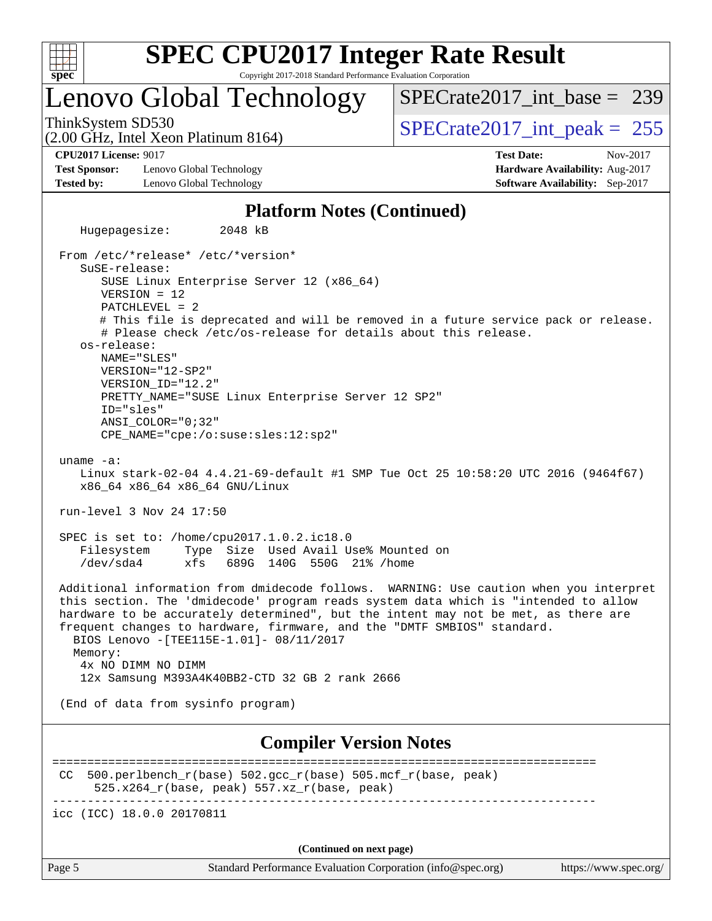

### Lenovo Global Technology

ThinkSystem SD530  $SPECrate2017\_int\_peak = 255$ [SPECrate2017\\_int\\_base =](http://www.spec.org/auto/cpu2017/Docs/result-fields.html#SPECrate2017intbase) 239

(2.00 GHz, Intel Xeon Platinum 8164)

**[Test Sponsor:](http://www.spec.org/auto/cpu2017/Docs/result-fields.html#TestSponsor)** Lenovo Global Technology **[Hardware Availability:](http://www.spec.org/auto/cpu2017/Docs/result-fields.html#HardwareAvailability)** Aug-2017 **[Tested by:](http://www.spec.org/auto/cpu2017/Docs/result-fields.html#Testedby)** Lenovo Global Technology **[Software Availability:](http://www.spec.org/auto/cpu2017/Docs/result-fields.html#SoftwareAvailability)** Sep-2017

**[CPU2017 License:](http://www.spec.org/auto/cpu2017/Docs/result-fields.html#CPU2017License)** 9017 **[Test Date:](http://www.spec.org/auto/cpu2017/Docs/result-fields.html#TestDate)** Nov-2017

#### **[Platform Notes \(Continued\)](http://www.spec.org/auto/cpu2017/Docs/result-fields.html#PlatformNotes)**

 Hugepagesize: 2048 kB From /etc/\*release\* /etc/\*version\* SuSE-release: SUSE Linux Enterprise Server 12 (x86\_64) VERSION = 12 PATCHLEVEL = 2 # This file is deprecated and will be removed in a future service pack or release. # Please check /etc/os-release for details about this release. os-release: NAME="SLES" VERSION="12-SP2" VERSION\_ID="12.2" PRETTY\_NAME="SUSE Linux Enterprise Server 12 SP2" ID="sles" ANSI\_COLOR="0;32" CPE\_NAME="cpe:/o:suse:sles:12:sp2" uname -a: Linux stark-02-04 4.4.21-69-default #1 SMP Tue Oct 25 10:58:20 UTC 2016 (9464f67) x86\_64 x86\_64 x86\_64 GNU/Linux run-level 3 Nov 24 17:50 SPEC is set to: /home/cpu2017.1.0.2.ic18.0 Filesystem Type Size Used Avail Use% Mounted on /dev/sda4 xfs 689G 140G 550G 21% /home Additional information from dmidecode follows. WARNING: Use caution when you interpret this section. The 'dmidecode' program reads system data which is "intended to allow hardware to be accurately determined", but the intent may not be met, as there are frequent changes to hardware, firmware, and the "DMTF SMBIOS" standard. BIOS Lenovo -[TEE115E-1.01]- 08/11/2017 Memory: 4x NO DIMM NO DIMM 12x Samsung M393A4K40BB2-CTD 32 GB 2 rank 2666 (End of data from sysinfo program) **[Compiler Version Notes](http://www.spec.org/auto/cpu2017/Docs/result-fields.html#CompilerVersionNotes)** ==============================================================================

CC 500.perlbench  $r(base)$  502.gcc  $r(base)$  505.mcf  $r(base, peak)$ 525.x264\_r(base, peak) 557.xz\_r(base, peak)

------------------------------------------------------------------------------

icc (ICC) 18.0.0 20170811

**(Continued on next page)**

Page 5 Standard Performance Evaluation Corporation [\(info@spec.org\)](mailto:info@spec.org) <https://www.spec.org/>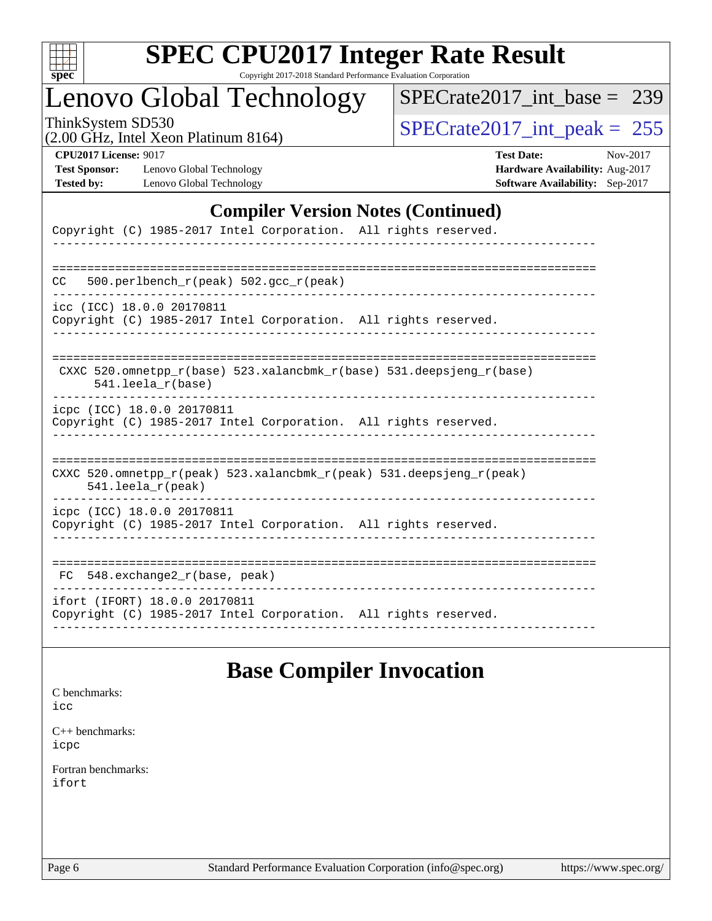

# **[SPEC CPU2017 Integer Rate Result](http://www.spec.org/auto/cpu2017/Docs/result-fields.html#SPECCPU2017IntegerRateResult)**

Copyright 2017-2018 Standard Performance Evaluation Corporation

### Lenovo Global Technology

[SPECrate2017\\_int\\_base =](http://www.spec.org/auto/cpu2017/Docs/result-fields.html#SPECrate2017intbase) 239

(2.00 GHz, Intel Xeon Platinum 8164)

ThinkSystem SD530<br>(2.00 GHz, Intel Xeon Platinum 8164) [SPECrate2017\\_int\\_peak =](http://www.spec.org/auto/cpu2017/Docs/result-fields.html#SPECrate2017intpeak) 255

**[Test Sponsor:](http://www.spec.org/auto/cpu2017/Docs/result-fields.html#TestSponsor)** Lenovo Global Technology **[Hardware Availability:](http://www.spec.org/auto/cpu2017/Docs/result-fields.html#HardwareAvailability)** Aug-2017 **[Tested by:](http://www.spec.org/auto/cpu2017/Docs/result-fields.html#Testedby)** Lenovo Global Technology **[Software Availability:](http://www.spec.org/auto/cpu2017/Docs/result-fields.html#SoftwareAvailability)** Sep-2017

**[CPU2017 License:](http://www.spec.org/auto/cpu2017/Docs/result-fields.html#CPU2017License)** 9017 **[Test Date:](http://www.spec.org/auto/cpu2017/Docs/result-fields.html#TestDate)** Nov-2017

#### **[Compiler Version Notes \(Continued\)](http://www.spec.org/auto/cpu2017/Docs/result-fields.html#CompilerVersionNotes)**

| Copyright (C) 1985-2017 Intel Corporation. All rights reserved.                                      |
|------------------------------------------------------------------------------------------------------|
| 500.perlbench $r(\text{peak})$ 502.gcc $r(\text{peak})$<br>CC.                                       |
| icc (ICC) 18.0.0 20170811<br>Copyright (C) 1985-2017 Intel Corporation. All rights reserved.         |
| CXXC 520.omnetpp $r(base)$ 523.xalancbmk $r(base)$ 531.deepsjeng $r(base)$<br>$541.$ leela $r(base)$ |
| icpc (ICC) 18.0.0 20170811<br>Copyright (C) 1985-2017 Intel Corporation. All rights reserved.        |
| CXXC 520.omnetpp_r(peak) 523.xalancbmk_r(peak) 531.deepsjeng_r(peak)<br>$541.$ leela $r$ (peak)      |
| icpc (ICC) 18.0.0 20170811<br>Copyright (C) 1985-2017 Intel Corporation. All rights reserved.        |
| $FC$ 548. exchange2 $r(base, peak)$                                                                  |
| ifort (IFORT) 18.0.0 20170811<br>Copyright (C) 1985-2017 Intel Corporation. All rights reserved.     |

### **[Base Compiler Invocation](http://www.spec.org/auto/cpu2017/Docs/result-fields.html#BaseCompilerInvocation)**

[C benchmarks](http://www.spec.org/auto/cpu2017/Docs/result-fields.html#Cbenchmarks): [icc](http://www.spec.org/cpu2017/results/res2017q4/cpu2017-20171127-01101.flags.html#user_CCbase_intel_icc_18.0_66fc1ee009f7361af1fbd72ca7dcefbb700085f36577c54f309893dd4ec40d12360134090235512931783d35fd58c0460139e722d5067c5574d8eaf2b3e37e92)

[C++ benchmarks:](http://www.spec.org/auto/cpu2017/Docs/result-fields.html#CXXbenchmarks) [icpc](http://www.spec.org/cpu2017/results/res2017q4/cpu2017-20171127-01101.flags.html#user_CXXbase_intel_icpc_18.0_c510b6838c7f56d33e37e94d029a35b4a7bccf4766a728ee175e80a419847e808290a9b78be685c44ab727ea267ec2f070ec5dc83b407c0218cded6866a35d07)

[Fortran benchmarks](http://www.spec.org/auto/cpu2017/Docs/result-fields.html#Fortranbenchmarks): [ifort](http://www.spec.org/cpu2017/results/res2017q4/cpu2017-20171127-01101.flags.html#user_FCbase_intel_ifort_18.0_8111460550e3ca792625aed983ce982f94888b8b503583aa7ba2b8303487b4d8a21a13e7191a45c5fd58ff318f48f9492884d4413fa793fd88dd292cad7027ca)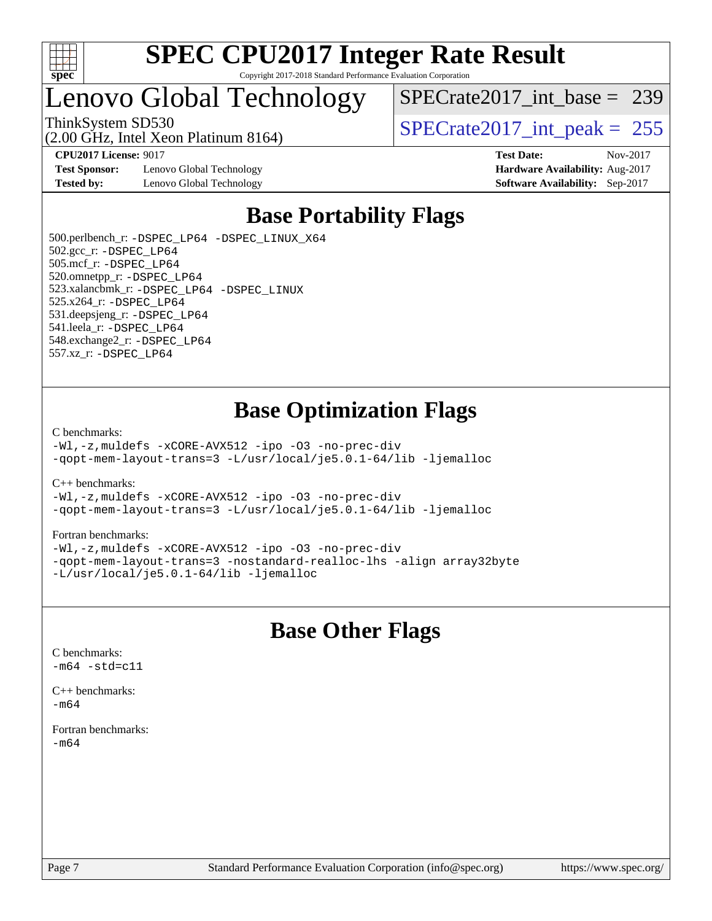

### Lenovo Global Technology

[SPECrate2017\\_int\\_base =](http://www.spec.org/auto/cpu2017/Docs/result-fields.html#SPECrate2017intbase) 239

(2.00 GHz, Intel Xeon Platinum 8164)

**[Test Sponsor:](http://www.spec.org/auto/cpu2017/Docs/result-fields.html#TestSponsor)** Lenovo Global Technology **[Hardware Availability:](http://www.spec.org/auto/cpu2017/Docs/result-fields.html#HardwareAvailability)** Aug-2017 **[Tested by:](http://www.spec.org/auto/cpu2017/Docs/result-fields.html#Testedby)** Lenovo Global Technology **[Software Availability:](http://www.spec.org/auto/cpu2017/Docs/result-fields.html#SoftwareAvailability)** Sep-2017

ThinkSystem SD530<br>  $\frac{1}{200}$  [SPECrate2017\\_int\\_peak =](http://www.spec.org/auto/cpu2017/Docs/result-fields.html#SPECrate2017intpeak) 255 **[CPU2017 License:](http://www.spec.org/auto/cpu2017/Docs/result-fields.html#CPU2017License)** 9017 **[Test Date:](http://www.spec.org/auto/cpu2017/Docs/result-fields.html#TestDate)** Nov-2017

### **[Base Portability Flags](http://www.spec.org/auto/cpu2017/Docs/result-fields.html#BasePortabilityFlags)**

 500.perlbench\_r: [-DSPEC\\_LP64](http://www.spec.org/cpu2017/results/res2017q4/cpu2017-20171127-01101.flags.html#b500.perlbench_r_basePORTABILITY_DSPEC_LP64) [-DSPEC\\_LINUX\\_X64](http://www.spec.org/cpu2017/results/res2017q4/cpu2017-20171127-01101.flags.html#b500.perlbench_r_baseCPORTABILITY_DSPEC_LINUX_X64) 502.gcc\_r: [-DSPEC\\_LP64](http://www.spec.org/cpu2017/results/res2017q4/cpu2017-20171127-01101.flags.html#suite_basePORTABILITY502_gcc_r_DSPEC_LP64) 505.mcf\_r: [-DSPEC\\_LP64](http://www.spec.org/cpu2017/results/res2017q4/cpu2017-20171127-01101.flags.html#suite_basePORTABILITY505_mcf_r_DSPEC_LP64) 520.omnetpp\_r: [-DSPEC\\_LP64](http://www.spec.org/cpu2017/results/res2017q4/cpu2017-20171127-01101.flags.html#suite_basePORTABILITY520_omnetpp_r_DSPEC_LP64) 523.xalancbmk\_r: [-DSPEC\\_LP64](http://www.spec.org/cpu2017/results/res2017q4/cpu2017-20171127-01101.flags.html#suite_basePORTABILITY523_xalancbmk_r_DSPEC_LP64) [-DSPEC\\_LINUX](http://www.spec.org/cpu2017/results/res2017q4/cpu2017-20171127-01101.flags.html#b523.xalancbmk_r_baseCXXPORTABILITY_DSPEC_LINUX) 525.x264\_r: [-DSPEC\\_LP64](http://www.spec.org/cpu2017/results/res2017q4/cpu2017-20171127-01101.flags.html#suite_basePORTABILITY525_x264_r_DSPEC_LP64) 531.deepsjeng\_r: [-DSPEC\\_LP64](http://www.spec.org/cpu2017/results/res2017q4/cpu2017-20171127-01101.flags.html#suite_basePORTABILITY531_deepsjeng_r_DSPEC_LP64) 541.leela\_r: [-DSPEC\\_LP64](http://www.spec.org/cpu2017/results/res2017q4/cpu2017-20171127-01101.flags.html#suite_basePORTABILITY541_leela_r_DSPEC_LP64) 548.exchange2\_r: [-DSPEC\\_LP64](http://www.spec.org/cpu2017/results/res2017q4/cpu2017-20171127-01101.flags.html#suite_basePORTABILITY548_exchange2_r_DSPEC_LP64) 557.xz\_r: [-DSPEC\\_LP64](http://www.spec.org/cpu2017/results/res2017q4/cpu2017-20171127-01101.flags.html#suite_basePORTABILITY557_xz_r_DSPEC_LP64)

### **[Base Optimization Flags](http://www.spec.org/auto/cpu2017/Docs/result-fields.html#BaseOptimizationFlags)**

#### [C benchmarks](http://www.spec.org/auto/cpu2017/Docs/result-fields.html#Cbenchmarks):

[-Wl,-z,muldefs](http://www.spec.org/cpu2017/results/res2017q4/cpu2017-20171127-01101.flags.html#user_CCbase_link_force_multiple1_b4cbdb97b34bdee9ceefcfe54f4c8ea74255f0b02a4b23e853cdb0e18eb4525ac79b5a88067c842dd0ee6996c24547a27a4b99331201badda8798ef8a743f577) [-xCORE-AVX512](http://www.spec.org/cpu2017/results/res2017q4/cpu2017-20171127-01101.flags.html#user_CCbase_f-xCORE-AVX512) [-ipo](http://www.spec.org/cpu2017/results/res2017q4/cpu2017-20171127-01101.flags.html#user_CCbase_f-ipo) [-O3](http://www.spec.org/cpu2017/results/res2017q4/cpu2017-20171127-01101.flags.html#user_CCbase_f-O3) [-no-prec-div](http://www.spec.org/cpu2017/results/res2017q4/cpu2017-20171127-01101.flags.html#user_CCbase_f-no-prec-div) [-qopt-mem-layout-trans=3](http://www.spec.org/cpu2017/results/res2017q4/cpu2017-20171127-01101.flags.html#user_CCbase_f-qopt-mem-layout-trans_de80db37974c74b1f0e20d883f0b675c88c3b01e9d123adea9b28688d64333345fb62bc4a798493513fdb68f60282f9a726aa07f478b2f7113531aecce732043) [-L/usr/local/je5.0.1-64/lib](http://www.spec.org/cpu2017/results/res2017q4/cpu2017-20171127-01101.flags.html#user_CCbase_jemalloc_link_path64_4b10a636b7bce113509b17f3bd0d6226c5fb2346b9178c2d0232c14f04ab830f976640479e5c33dc2bcbbdad86ecfb6634cbbd4418746f06f368b512fced5394) [-ljemalloc](http://www.spec.org/cpu2017/results/res2017q4/cpu2017-20171127-01101.flags.html#user_CCbase_jemalloc_link_lib_d1249b907c500fa1c0672f44f562e3d0f79738ae9e3c4a9c376d49f265a04b9c99b167ecedbf6711b3085be911c67ff61f150a17b3472be731631ba4d0471706)

[C++ benchmarks:](http://www.spec.org/auto/cpu2017/Docs/result-fields.html#CXXbenchmarks)

[-Wl,-z,muldefs](http://www.spec.org/cpu2017/results/res2017q4/cpu2017-20171127-01101.flags.html#user_CXXbase_link_force_multiple1_b4cbdb97b34bdee9ceefcfe54f4c8ea74255f0b02a4b23e853cdb0e18eb4525ac79b5a88067c842dd0ee6996c24547a27a4b99331201badda8798ef8a743f577) [-xCORE-AVX512](http://www.spec.org/cpu2017/results/res2017q4/cpu2017-20171127-01101.flags.html#user_CXXbase_f-xCORE-AVX512) [-ipo](http://www.spec.org/cpu2017/results/res2017q4/cpu2017-20171127-01101.flags.html#user_CXXbase_f-ipo) [-O3](http://www.spec.org/cpu2017/results/res2017q4/cpu2017-20171127-01101.flags.html#user_CXXbase_f-O3) [-no-prec-div](http://www.spec.org/cpu2017/results/res2017q4/cpu2017-20171127-01101.flags.html#user_CXXbase_f-no-prec-div) [-qopt-mem-layout-trans=3](http://www.spec.org/cpu2017/results/res2017q4/cpu2017-20171127-01101.flags.html#user_CXXbase_f-qopt-mem-layout-trans_de80db37974c74b1f0e20d883f0b675c88c3b01e9d123adea9b28688d64333345fb62bc4a798493513fdb68f60282f9a726aa07f478b2f7113531aecce732043) [-L/usr/local/je5.0.1-64/lib](http://www.spec.org/cpu2017/results/res2017q4/cpu2017-20171127-01101.flags.html#user_CXXbase_jemalloc_link_path64_4b10a636b7bce113509b17f3bd0d6226c5fb2346b9178c2d0232c14f04ab830f976640479e5c33dc2bcbbdad86ecfb6634cbbd4418746f06f368b512fced5394) [-ljemalloc](http://www.spec.org/cpu2017/results/res2017q4/cpu2017-20171127-01101.flags.html#user_CXXbase_jemalloc_link_lib_d1249b907c500fa1c0672f44f562e3d0f79738ae9e3c4a9c376d49f265a04b9c99b167ecedbf6711b3085be911c67ff61f150a17b3472be731631ba4d0471706)

#### [Fortran benchmarks](http://www.spec.org/auto/cpu2017/Docs/result-fields.html#Fortranbenchmarks):

[-Wl,-z,muldefs](http://www.spec.org/cpu2017/results/res2017q4/cpu2017-20171127-01101.flags.html#user_FCbase_link_force_multiple1_b4cbdb97b34bdee9ceefcfe54f4c8ea74255f0b02a4b23e853cdb0e18eb4525ac79b5a88067c842dd0ee6996c24547a27a4b99331201badda8798ef8a743f577) [-xCORE-AVX512](http://www.spec.org/cpu2017/results/res2017q4/cpu2017-20171127-01101.flags.html#user_FCbase_f-xCORE-AVX512) [-ipo](http://www.spec.org/cpu2017/results/res2017q4/cpu2017-20171127-01101.flags.html#user_FCbase_f-ipo) [-O3](http://www.spec.org/cpu2017/results/res2017q4/cpu2017-20171127-01101.flags.html#user_FCbase_f-O3) [-no-prec-div](http://www.spec.org/cpu2017/results/res2017q4/cpu2017-20171127-01101.flags.html#user_FCbase_f-no-prec-div) [-qopt-mem-layout-trans=3](http://www.spec.org/cpu2017/results/res2017q4/cpu2017-20171127-01101.flags.html#user_FCbase_f-qopt-mem-layout-trans_de80db37974c74b1f0e20d883f0b675c88c3b01e9d123adea9b28688d64333345fb62bc4a798493513fdb68f60282f9a726aa07f478b2f7113531aecce732043) [-nostandard-realloc-lhs](http://www.spec.org/cpu2017/results/res2017q4/cpu2017-20171127-01101.flags.html#user_FCbase_f_2003_std_realloc_82b4557e90729c0f113870c07e44d33d6f5a304b4f63d4c15d2d0f1fab99f5daaed73bdb9275d9ae411527f28b936061aa8b9c8f2d63842963b95c9dd6426b8a) [-align array32byte](http://www.spec.org/cpu2017/results/res2017q4/cpu2017-20171127-01101.flags.html#user_FCbase_align_array32byte_b982fe038af199962ba9a80c053b8342c548c85b40b8e86eb3cc33dee0d7986a4af373ac2d51c3f7cf710a18d62fdce2948f201cd044323541f22fc0fffc51b6) [-L/usr/local/je5.0.1-64/lib](http://www.spec.org/cpu2017/results/res2017q4/cpu2017-20171127-01101.flags.html#user_FCbase_jemalloc_link_path64_4b10a636b7bce113509b17f3bd0d6226c5fb2346b9178c2d0232c14f04ab830f976640479e5c33dc2bcbbdad86ecfb6634cbbd4418746f06f368b512fced5394) [-ljemalloc](http://www.spec.org/cpu2017/results/res2017q4/cpu2017-20171127-01101.flags.html#user_FCbase_jemalloc_link_lib_d1249b907c500fa1c0672f44f562e3d0f79738ae9e3c4a9c376d49f265a04b9c99b167ecedbf6711b3085be911c67ff61f150a17b3472be731631ba4d0471706)

### **[Base Other Flags](http://www.spec.org/auto/cpu2017/Docs/result-fields.html#BaseOtherFlags)**

[C benchmarks](http://www.spec.org/auto/cpu2017/Docs/result-fields.html#Cbenchmarks):  $-m64 - std= c11$  $-m64 - std= c11$ 

[C++ benchmarks:](http://www.spec.org/auto/cpu2017/Docs/result-fields.html#CXXbenchmarks)  $-m64$ 

[Fortran benchmarks](http://www.spec.org/auto/cpu2017/Docs/result-fields.html#Fortranbenchmarks): [-m64](http://www.spec.org/cpu2017/results/res2017q4/cpu2017-20171127-01101.flags.html#user_FCbase_intel_intel64_18.0_af43caccfc8ded86e7699f2159af6efc7655f51387b94da716254467f3c01020a5059329e2569e4053f409e7c9202a7efc638f7a6d1ffb3f52dea4a3e31d82ab)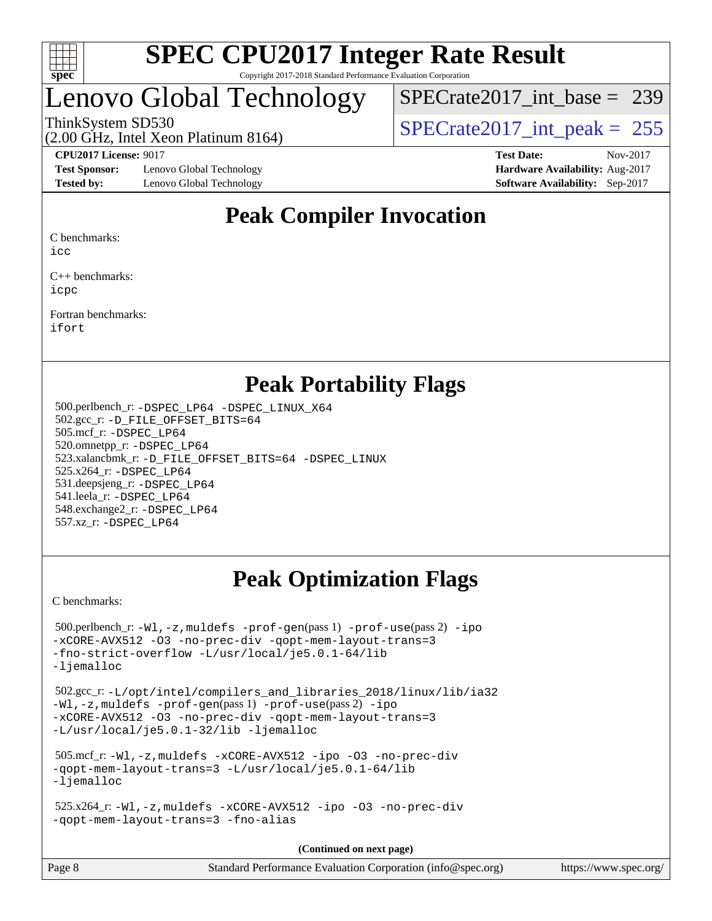

### Lenovo Global Technology

[SPECrate2017\\_int\\_base =](http://www.spec.org/auto/cpu2017/Docs/result-fields.html#SPECrate2017intbase) 239

(2.00 GHz, Intel Xeon Platinum 8164)

ThinkSystem SD530  $SPECrate2017\_int\_peak = 255$ 

**[Test Sponsor:](http://www.spec.org/auto/cpu2017/Docs/result-fields.html#TestSponsor)** Lenovo Global Technology **[Hardware Availability:](http://www.spec.org/auto/cpu2017/Docs/result-fields.html#HardwareAvailability)** Aug-2017 **[Tested by:](http://www.spec.org/auto/cpu2017/Docs/result-fields.html#Testedby)** Lenovo Global Technology **[Software Availability:](http://www.spec.org/auto/cpu2017/Docs/result-fields.html#SoftwareAvailability)** Sep-2017

**[CPU2017 License:](http://www.spec.org/auto/cpu2017/Docs/result-fields.html#CPU2017License)** 9017 **[Test Date:](http://www.spec.org/auto/cpu2017/Docs/result-fields.html#TestDate)** Nov-2017

### **[Peak Compiler Invocation](http://www.spec.org/auto/cpu2017/Docs/result-fields.html#PeakCompilerInvocation)**

[C benchmarks:](http://www.spec.org/auto/cpu2017/Docs/result-fields.html#Cbenchmarks)

[icc](http://www.spec.org/cpu2017/results/res2017q4/cpu2017-20171127-01101.flags.html#user_CCpeak_intel_icc_18.0_66fc1ee009f7361af1fbd72ca7dcefbb700085f36577c54f309893dd4ec40d12360134090235512931783d35fd58c0460139e722d5067c5574d8eaf2b3e37e92)

[C++ benchmarks:](http://www.spec.org/auto/cpu2017/Docs/result-fields.html#CXXbenchmarks) [icpc](http://www.spec.org/cpu2017/results/res2017q4/cpu2017-20171127-01101.flags.html#user_CXXpeak_intel_icpc_18.0_c510b6838c7f56d33e37e94d029a35b4a7bccf4766a728ee175e80a419847e808290a9b78be685c44ab727ea267ec2f070ec5dc83b407c0218cded6866a35d07)

[Fortran benchmarks](http://www.spec.org/auto/cpu2017/Docs/result-fields.html#Fortranbenchmarks): [ifort](http://www.spec.org/cpu2017/results/res2017q4/cpu2017-20171127-01101.flags.html#user_FCpeak_intel_ifort_18.0_8111460550e3ca792625aed983ce982f94888b8b503583aa7ba2b8303487b4d8a21a13e7191a45c5fd58ff318f48f9492884d4413fa793fd88dd292cad7027ca)

### **[Peak Portability Flags](http://www.spec.org/auto/cpu2017/Docs/result-fields.html#PeakPortabilityFlags)**

 500.perlbench\_r: [-DSPEC\\_LP64](http://www.spec.org/cpu2017/results/res2017q4/cpu2017-20171127-01101.flags.html#b500.perlbench_r_peakPORTABILITY_DSPEC_LP64) [-DSPEC\\_LINUX\\_X64](http://www.spec.org/cpu2017/results/res2017q4/cpu2017-20171127-01101.flags.html#b500.perlbench_r_peakCPORTABILITY_DSPEC_LINUX_X64) 502.gcc\_r: [-D\\_FILE\\_OFFSET\\_BITS=64](http://www.spec.org/cpu2017/results/res2017q4/cpu2017-20171127-01101.flags.html#user_peakPORTABILITY502_gcc_r_file_offset_bits_64_5ae949a99b284ddf4e95728d47cb0843d81b2eb0e18bdfe74bbf0f61d0b064f4bda2f10ea5eb90e1dcab0e84dbc592acfc5018bc955c18609f94ddb8d550002c) 505.mcf\_r: [-DSPEC\\_LP64](http://www.spec.org/cpu2017/results/res2017q4/cpu2017-20171127-01101.flags.html#suite_peakPORTABILITY505_mcf_r_DSPEC_LP64) 520.omnetpp\_r: [-DSPEC\\_LP64](http://www.spec.org/cpu2017/results/res2017q4/cpu2017-20171127-01101.flags.html#suite_peakPORTABILITY520_omnetpp_r_DSPEC_LP64) 523.xalancbmk\_r: [-D\\_FILE\\_OFFSET\\_BITS=64](http://www.spec.org/cpu2017/results/res2017q4/cpu2017-20171127-01101.flags.html#user_peakPORTABILITY523_xalancbmk_r_file_offset_bits_64_5ae949a99b284ddf4e95728d47cb0843d81b2eb0e18bdfe74bbf0f61d0b064f4bda2f10ea5eb90e1dcab0e84dbc592acfc5018bc955c18609f94ddb8d550002c) [-DSPEC\\_LINUX](http://www.spec.org/cpu2017/results/res2017q4/cpu2017-20171127-01101.flags.html#b523.xalancbmk_r_peakCXXPORTABILITY_DSPEC_LINUX) 525.x264\_r: [-DSPEC\\_LP64](http://www.spec.org/cpu2017/results/res2017q4/cpu2017-20171127-01101.flags.html#suite_peakPORTABILITY525_x264_r_DSPEC_LP64) 531.deepsjeng\_r: [-DSPEC\\_LP64](http://www.spec.org/cpu2017/results/res2017q4/cpu2017-20171127-01101.flags.html#suite_peakPORTABILITY531_deepsjeng_r_DSPEC_LP64) 541.leela\_r: [-DSPEC\\_LP64](http://www.spec.org/cpu2017/results/res2017q4/cpu2017-20171127-01101.flags.html#suite_peakPORTABILITY541_leela_r_DSPEC_LP64) 548.exchange2\_r: [-DSPEC\\_LP64](http://www.spec.org/cpu2017/results/res2017q4/cpu2017-20171127-01101.flags.html#suite_peakPORTABILITY548_exchange2_r_DSPEC_LP64) 557.xz\_r: [-DSPEC\\_LP64](http://www.spec.org/cpu2017/results/res2017q4/cpu2017-20171127-01101.flags.html#suite_peakPORTABILITY557_xz_r_DSPEC_LP64)

### **[Peak Optimization Flags](http://www.spec.org/auto/cpu2017/Docs/result-fields.html#PeakOptimizationFlags)**

[C benchmarks](http://www.spec.org/auto/cpu2017/Docs/result-fields.html#Cbenchmarks):

```
 500.perlbench_r: -Wl,-z,muldefs -prof-gen(pass 1) -prof-use(pass 2) -ipo
-xCORE-AVX512 -O3 -no-prec-div -qopt-mem-layout-trans=3
-fno-strict-overflow -L/usr/local/je5.0.1-64/lib
-ljemalloc
 502.gcc_r: -L/opt/intel/compilers_and_libraries_2018/linux/lib/ia32
-Wl,-z,muldefs -prof-gen(pass 1) -prof-use(pass 2) -ipo
-xCORE-AVX512 -O3 -no-prec-div -qopt-mem-layout-trans=3
-L/usr/local/je5.0.1-32/lib -ljemalloc
 505.mcf_r: -Wl,-z,muldefs -xCORE-AVX512 -ipo -O3 -no-prec-div
-qopt-mem-layout-trans=3 -L/usr/local/je5.0.1-64/lib
-ljemalloc
 525.x264_r: -Wl,-z,muldefs -xCORE-AVX512 -ipo -O3 -no-prec-div
-qopt-mem-layout-trans=3 -fno-alias
                                     (Continued on next page)
```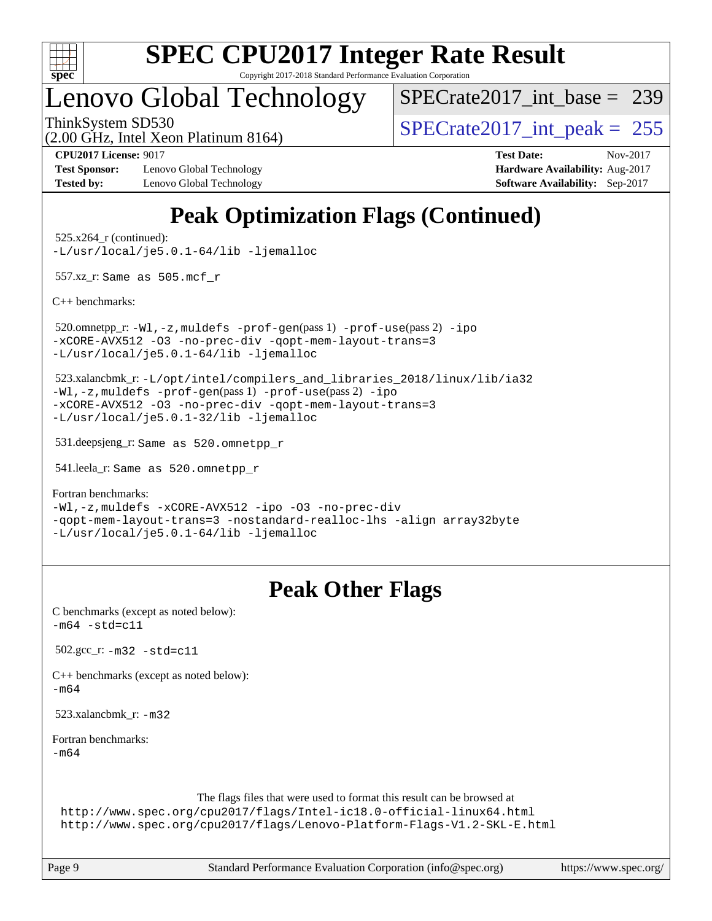

# **[SPEC CPU2017 Integer Rate Result](http://www.spec.org/auto/cpu2017/Docs/result-fields.html#SPECCPU2017IntegerRateResult)**

Copyright 2017-2018 Standard Performance Evaluation Corporation

### Lenovo Global Technology

[SPECrate2017\\_int\\_base =](http://www.spec.org/auto/cpu2017/Docs/result-fields.html#SPECrate2017intbase) 239

(2.00 GHz, Intel Xeon Platinum 8164)

ThinkSystem SD530<br>  $\langle 2.00 \rangle$  CH<sub>z</sub> Intel Year Platinum 8164)

**[Test Sponsor:](http://www.spec.org/auto/cpu2017/Docs/result-fields.html#TestSponsor)** Lenovo Global Technology **[Hardware Availability:](http://www.spec.org/auto/cpu2017/Docs/result-fields.html#HardwareAvailability)** Aug-2017 **[Tested by:](http://www.spec.org/auto/cpu2017/Docs/result-fields.html#Testedby)** Lenovo Global Technology **[Software Availability:](http://www.spec.org/auto/cpu2017/Docs/result-fields.html#SoftwareAvailability)** Sep-2017

**[CPU2017 License:](http://www.spec.org/auto/cpu2017/Docs/result-fields.html#CPU2017License)** 9017 **[Test Date:](http://www.spec.org/auto/cpu2017/Docs/result-fields.html#TestDate)** Nov-2017

### **[Peak Optimization Flags \(Continued\)](http://www.spec.org/auto/cpu2017/Docs/result-fields.html#PeakOptimizationFlags)**

 525.x264\_r (continued): [-L/usr/local/je5.0.1-64/lib](http://www.spec.org/cpu2017/results/res2017q4/cpu2017-20171127-01101.flags.html#user_peakEXTRA_LIBS525_x264_r_jemalloc_link_path64_4b10a636b7bce113509b17f3bd0d6226c5fb2346b9178c2d0232c14f04ab830f976640479e5c33dc2bcbbdad86ecfb6634cbbd4418746f06f368b512fced5394) [-ljemalloc](http://www.spec.org/cpu2017/results/res2017q4/cpu2017-20171127-01101.flags.html#user_peakEXTRA_LIBS525_x264_r_jemalloc_link_lib_d1249b907c500fa1c0672f44f562e3d0f79738ae9e3c4a9c376d49f265a04b9c99b167ecedbf6711b3085be911c67ff61f150a17b3472be731631ba4d0471706)

557.xz\_r: Same as 505.mcf\_r

[C++ benchmarks:](http://www.spec.org/auto/cpu2017/Docs/result-fields.html#CXXbenchmarks)

 520.omnetpp\_r: [-Wl,-z,muldefs](http://www.spec.org/cpu2017/results/res2017q4/cpu2017-20171127-01101.flags.html#user_peakEXTRA_LDFLAGS520_omnetpp_r_link_force_multiple1_b4cbdb97b34bdee9ceefcfe54f4c8ea74255f0b02a4b23e853cdb0e18eb4525ac79b5a88067c842dd0ee6996c24547a27a4b99331201badda8798ef8a743f577) [-prof-gen](http://www.spec.org/cpu2017/results/res2017q4/cpu2017-20171127-01101.flags.html#user_peakPASS1_CXXFLAGSPASS1_LDFLAGS520_omnetpp_r_prof_gen_5aa4926d6013ddb2a31985c654b3eb18169fc0c6952a63635c234f711e6e63dd76e94ad52365559451ec499a2cdb89e4dc58ba4c67ef54ca681ffbe1461d6b36)(pass 1) [-prof-use](http://www.spec.org/cpu2017/results/res2017q4/cpu2017-20171127-01101.flags.html#user_peakPASS2_CXXFLAGSPASS2_LDFLAGS520_omnetpp_r_prof_use_1a21ceae95f36a2b53c25747139a6c16ca95bd9def2a207b4f0849963b97e94f5260e30a0c64f4bb623698870e679ca08317ef8150905d41bd88c6f78df73f19)(pass 2) [-ipo](http://www.spec.org/cpu2017/results/res2017q4/cpu2017-20171127-01101.flags.html#user_peakPASS1_CXXOPTIMIZEPASS2_CXXOPTIMIZE520_omnetpp_r_f-ipo) [-xCORE-AVX512](http://www.spec.org/cpu2017/results/res2017q4/cpu2017-20171127-01101.flags.html#user_peakPASS2_CXXOPTIMIZE520_omnetpp_r_f-xCORE-AVX512) [-O3](http://www.spec.org/cpu2017/results/res2017q4/cpu2017-20171127-01101.flags.html#user_peakPASS1_CXXOPTIMIZEPASS2_CXXOPTIMIZE520_omnetpp_r_f-O3) [-no-prec-div](http://www.spec.org/cpu2017/results/res2017q4/cpu2017-20171127-01101.flags.html#user_peakPASS1_CXXOPTIMIZEPASS2_CXXOPTIMIZE520_omnetpp_r_f-no-prec-div) [-qopt-mem-layout-trans=3](http://www.spec.org/cpu2017/results/res2017q4/cpu2017-20171127-01101.flags.html#user_peakPASS1_CXXOPTIMIZEPASS2_CXXOPTIMIZE520_omnetpp_r_f-qopt-mem-layout-trans_de80db37974c74b1f0e20d883f0b675c88c3b01e9d123adea9b28688d64333345fb62bc4a798493513fdb68f60282f9a726aa07f478b2f7113531aecce732043) [-L/usr/local/je5.0.1-64/lib](http://www.spec.org/cpu2017/results/res2017q4/cpu2017-20171127-01101.flags.html#user_peakEXTRA_LIBS520_omnetpp_r_jemalloc_link_path64_4b10a636b7bce113509b17f3bd0d6226c5fb2346b9178c2d0232c14f04ab830f976640479e5c33dc2bcbbdad86ecfb6634cbbd4418746f06f368b512fced5394) [-ljemalloc](http://www.spec.org/cpu2017/results/res2017q4/cpu2017-20171127-01101.flags.html#user_peakEXTRA_LIBS520_omnetpp_r_jemalloc_link_lib_d1249b907c500fa1c0672f44f562e3d0f79738ae9e3c4a9c376d49f265a04b9c99b167ecedbf6711b3085be911c67ff61f150a17b3472be731631ba4d0471706)

 523.xalancbmk\_r: [-L/opt/intel/compilers\\_and\\_libraries\\_2018/linux/lib/ia32](http://www.spec.org/cpu2017/results/res2017q4/cpu2017-20171127-01101.flags.html#user_peakCXXLD523_xalancbmk_r_Enable-32bit-runtime_af243bdb1d79e4c7a4f720bf8275e627de2ecd461de63307bc14cef0633fde3cd7bb2facb32dcc8be9566045fb55d40ce2b72b725f73827aa7833441b71b9343) [-Wl,-z,muldefs](http://www.spec.org/cpu2017/results/res2017q4/cpu2017-20171127-01101.flags.html#user_peakEXTRA_LDFLAGS523_xalancbmk_r_link_force_multiple1_b4cbdb97b34bdee9ceefcfe54f4c8ea74255f0b02a4b23e853cdb0e18eb4525ac79b5a88067c842dd0ee6996c24547a27a4b99331201badda8798ef8a743f577) [-prof-gen](http://www.spec.org/cpu2017/results/res2017q4/cpu2017-20171127-01101.flags.html#user_peakPASS1_CXXFLAGSPASS1_LDFLAGS523_xalancbmk_r_prof_gen_5aa4926d6013ddb2a31985c654b3eb18169fc0c6952a63635c234f711e6e63dd76e94ad52365559451ec499a2cdb89e4dc58ba4c67ef54ca681ffbe1461d6b36)(pass 1) [-prof-use](http://www.spec.org/cpu2017/results/res2017q4/cpu2017-20171127-01101.flags.html#user_peakPASS2_CXXFLAGSPASS2_LDFLAGS523_xalancbmk_r_prof_use_1a21ceae95f36a2b53c25747139a6c16ca95bd9def2a207b4f0849963b97e94f5260e30a0c64f4bb623698870e679ca08317ef8150905d41bd88c6f78df73f19)(pass 2) [-ipo](http://www.spec.org/cpu2017/results/res2017q4/cpu2017-20171127-01101.flags.html#user_peakPASS1_CXXOPTIMIZEPASS2_CXXOPTIMIZE523_xalancbmk_r_f-ipo) [-xCORE-AVX512](http://www.spec.org/cpu2017/results/res2017q4/cpu2017-20171127-01101.flags.html#user_peakPASS2_CXXOPTIMIZE523_xalancbmk_r_f-xCORE-AVX512) [-O3](http://www.spec.org/cpu2017/results/res2017q4/cpu2017-20171127-01101.flags.html#user_peakPASS1_CXXOPTIMIZEPASS2_CXXOPTIMIZE523_xalancbmk_r_f-O3) [-no-prec-div](http://www.spec.org/cpu2017/results/res2017q4/cpu2017-20171127-01101.flags.html#user_peakPASS1_CXXOPTIMIZEPASS2_CXXOPTIMIZE523_xalancbmk_r_f-no-prec-div) [-qopt-mem-layout-trans=3](http://www.spec.org/cpu2017/results/res2017q4/cpu2017-20171127-01101.flags.html#user_peakPASS1_CXXOPTIMIZEPASS2_CXXOPTIMIZE523_xalancbmk_r_f-qopt-mem-layout-trans_de80db37974c74b1f0e20d883f0b675c88c3b01e9d123adea9b28688d64333345fb62bc4a798493513fdb68f60282f9a726aa07f478b2f7113531aecce732043) [-L/usr/local/je5.0.1-32/lib](http://www.spec.org/cpu2017/results/res2017q4/cpu2017-20171127-01101.flags.html#user_peakEXTRA_LIBS523_xalancbmk_r_jemalloc_link_path32_e29f22e8e6c17053bbc6a0971f5a9c01a601a06bb1a59df2084b77a2fe0a2995b64fd4256feaeea39eeba3aae142e96e2b2b0a28974019c0c0c88139a84f900a) [-ljemalloc](http://www.spec.org/cpu2017/results/res2017q4/cpu2017-20171127-01101.flags.html#user_peakEXTRA_LIBS523_xalancbmk_r_jemalloc_link_lib_d1249b907c500fa1c0672f44f562e3d0f79738ae9e3c4a9c376d49f265a04b9c99b167ecedbf6711b3085be911c67ff61f150a17b3472be731631ba4d0471706)

531.deepsjeng\_r: Same as 520.omnetpp\_r

541.leela\_r: Same as 520.omnetpp\_r

[Fortran benchmarks](http://www.spec.org/auto/cpu2017/Docs/result-fields.html#Fortranbenchmarks):

[-Wl,-z,muldefs](http://www.spec.org/cpu2017/results/res2017q4/cpu2017-20171127-01101.flags.html#user_FCpeak_link_force_multiple1_b4cbdb97b34bdee9ceefcfe54f4c8ea74255f0b02a4b23e853cdb0e18eb4525ac79b5a88067c842dd0ee6996c24547a27a4b99331201badda8798ef8a743f577) [-xCORE-AVX512](http://www.spec.org/cpu2017/results/res2017q4/cpu2017-20171127-01101.flags.html#user_FCpeak_f-xCORE-AVX512) [-ipo](http://www.spec.org/cpu2017/results/res2017q4/cpu2017-20171127-01101.flags.html#user_FCpeak_f-ipo) [-O3](http://www.spec.org/cpu2017/results/res2017q4/cpu2017-20171127-01101.flags.html#user_FCpeak_f-O3) [-no-prec-div](http://www.spec.org/cpu2017/results/res2017q4/cpu2017-20171127-01101.flags.html#user_FCpeak_f-no-prec-div) [-qopt-mem-layout-trans=3](http://www.spec.org/cpu2017/results/res2017q4/cpu2017-20171127-01101.flags.html#user_FCpeak_f-qopt-mem-layout-trans_de80db37974c74b1f0e20d883f0b675c88c3b01e9d123adea9b28688d64333345fb62bc4a798493513fdb68f60282f9a726aa07f478b2f7113531aecce732043) [-nostandard-realloc-lhs](http://www.spec.org/cpu2017/results/res2017q4/cpu2017-20171127-01101.flags.html#user_FCpeak_f_2003_std_realloc_82b4557e90729c0f113870c07e44d33d6f5a304b4f63d4c15d2d0f1fab99f5daaed73bdb9275d9ae411527f28b936061aa8b9c8f2d63842963b95c9dd6426b8a) [-align array32byte](http://www.spec.org/cpu2017/results/res2017q4/cpu2017-20171127-01101.flags.html#user_FCpeak_align_array32byte_b982fe038af199962ba9a80c053b8342c548c85b40b8e86eb3cc33dee0d7986a4af373ac2d51c3f7cf710a18d62fdce2948f201cd044323541f22fc0fffc51b6) [-L/usr/local/je5.0.1-64/lib](http://www.spec.org/cpu2017/results/res2017q4/cpu2017-20171127-01101.flags.html#user_FCpeak_jemalloc_link_path64_4b10a636b7bce113509b17f3bd0d6226c5fb2346b9178c2d0232c14f04ab830f976640479e5c33dc2bcbbdad86ecfb6634cbbd4418746f06f368b512fced5394) [-ljemalloc](http://www.spec.org/cpu2017/results/res2017q4/cpu2017-20171127-01101.flags.html#user_FCpeak_jemalloc_link_lib_d1249b907c500fa1c0672f44f562e3d0f79738ae9e3c4a9c376d49f265a04b9c99b167ecedbf6711b3085be911c67ff61f150a17b3472be731631ba4d0471706)

### **[Peak Other Flags](http://www.spec.org/auto/cpu2017/Docs/result-fields.html#PeakOtherFlags)**

| C benchmarks (except as noted below):<br>$-m64 - std= c11$                                                                                                                                                                |  |
|---------------------------------------------------------------------------------------------------------------------------------------------------------------------------------------------------------------------------|--|
| $502.\text{gcc}_r$ : $-m32 - std = c11$                                                                                                                                                                                   |  |
| $C++$ benchmarks (except as noted below):<br>$-m64$                                                                                                                                                                       |  |
| 523.xalancbmk $r: -m32$                                                                                                                                                                                                   |  |
| Fortran benchmarks:<br>$-m64$                                                                                                                                                                                             |  |
| The flags files that were used to format this result can be browsed at<br>http://www.spec.org/cpu2017/flags/Intel-ic18.0-official-linux64.html<br>http://www.spec.org/cpu2017/flags/Lenovo-Platform-Flags-V1.2-SKL-E.html |  |

Page 9 Standard Performance Evaluation Corporation [\(info@spec.org\)](mailto:info@spec.org) <https://www.spec.org/>